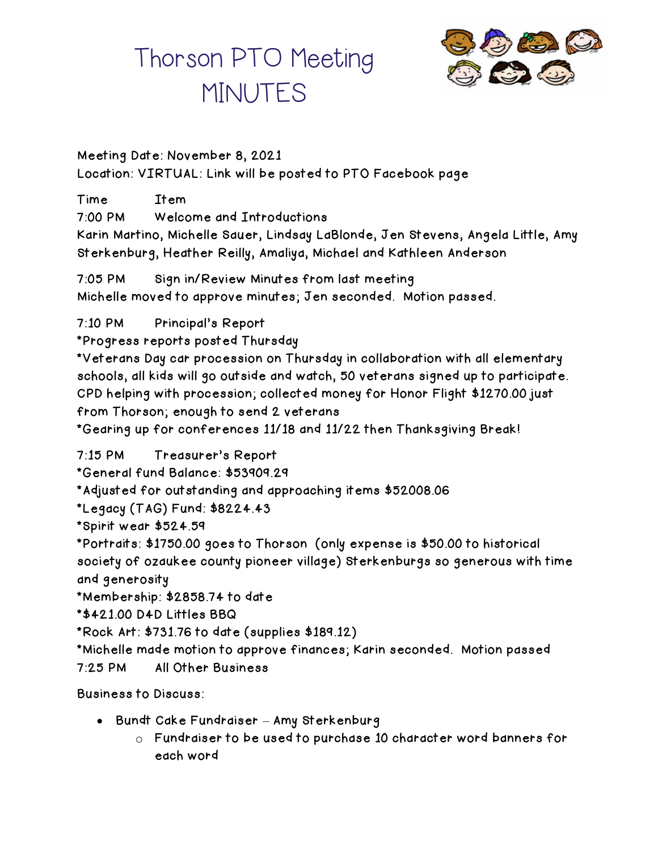

#### Meeting Date: November 8, 2021 Location: VIRTUAL: Link will be posted to PTO Facebook page

Time Item 7:00 PM Welcome and Introductions Karin Martino, Michelle Sauer, Lindsay LaBlonde, Jen Stevens, Angela Little, Amy Sterkenburg, Heather Reilly, Amaliya, Michael and Kathleen Anderson

7:05 PM Sign in/Review Minutes from last meeting Michelle moved to approve minutes; Jen seconded. Motion passed.

7:10 PM Principal's Report

\*Progress reports posted Thursday

\*Veterans Day car procession on Thursday in collaboration with all elementary schools, all kids will go outside and watch, 50 veterans signed up to participate. CPD helping with procession; collected money for Honor Flight \$1270.00 just from Thorson; enough to send 2 veterans

\*Gearing up for conferences 11/18 and 11/22 then Thanksgiving Break!

7:15 PM Treasurer's Report

\*General fund Balance: \$53909.29

\*Adjusted for outstanding and approaching items \$52008.06

\*Legacy (TAG) Fund: \$8224.43

\*Spirit wear \$524.59

\*Portraits: \$1750.00 goes to Thorson (only expense is \$50.00 to historical society of ozaukee county pioneer village) Sterkenburgs so generous with time and generosity

\*Membership: \$2858.74 to date

\*\$421.00 D4D Littles BBQ

\*Rock Art: \$731.76 to date (supplies \$189.12)

\*Michelle made motion to approve finances; Karin seconded. Motion passed

7:25 PM All Other Business

Business to Discuss:

- Bundt Cake Fundraiser Amy Sterkenburg
	- o Fundraiser to be used to purchase 10 character word banners for each word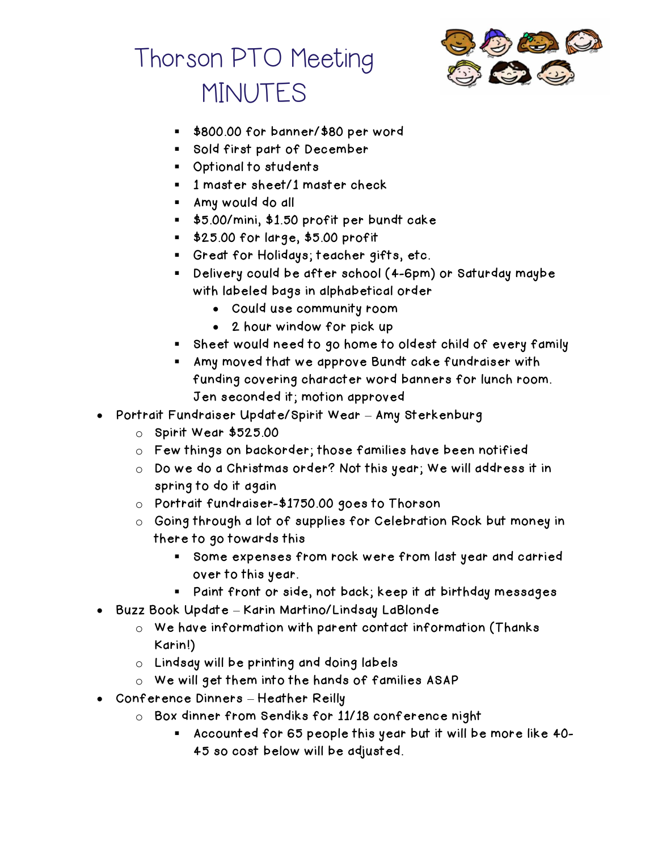



- \$800.00 for banner/\$80 per word
- Sold first part of December
- Optional to students
- **■** 1 master sheet/1 master check
- Amy would do all
- \$5.00/mini, \$1.50 profit per bundt cake
- \$25.00 for large, \$5.00 profit
- Great for Holidays; teacher gifts, etc.
- Delivery could be after school (4-6pm) or Saturday maybe with labeled bags in alphabetical order
	- Could use community room
	- 2 hour window for pick up
- Sheet would need to go home to oldest child of every family
- Amy moved that we approve Bundt cake fundraiser with funding covering character word banners for lunch room. Jen seconded it; motion approved
- Portrait Fundraiser Update/Spirit Wear Amy Sterkenburg
	- o Spirit Wear \$525.00
	- o Few things on backorder; those families have been notified
	- o Do we do a Christmas order? Not this year; We will address it in spring to do it again
	- o Portrait fundraiser-\$1750.00 goes to Thorson
	- o Going through a lot of supplies for Celebration Rock but money in there to go towards this
		- Some expenses from rock were from last year and carried over to this year.
		- Paint front or side, not back; keep it at birthday messages
- Buzz Book Update Karin Martino/Lindsay LaBlonde
	- o We have information with parent contact information (Thanks Karin!)
	- o Lindsay will be printing and doing labels
	- o We will get them into the hands of families ASAP
- Conference Dinners Heather Reilly
	- o Box dinner from Sendiks for 11/18 conference night
		- Accounted for 65 people this year but it will be more like 40-45 so cost below will be adjusted.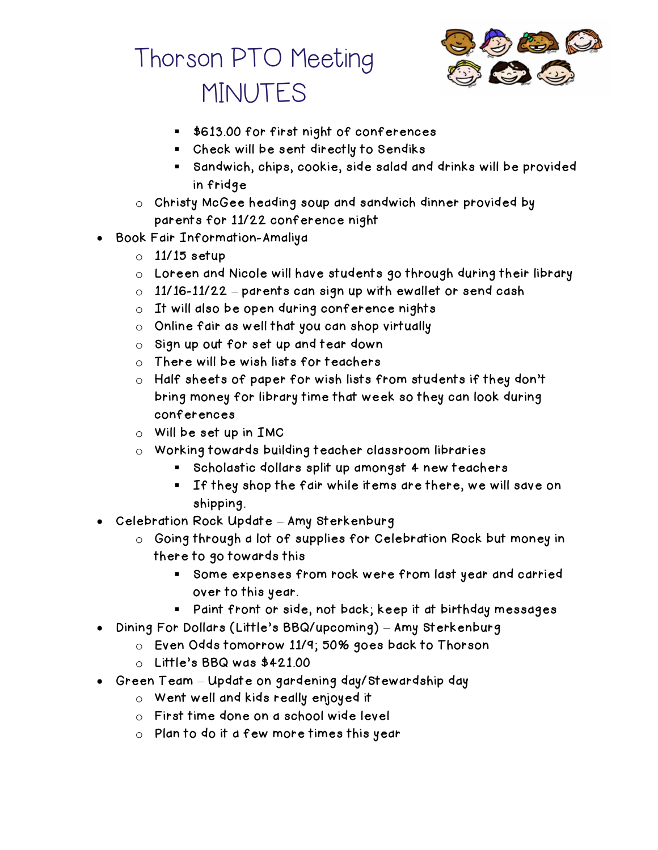

- \$613.00 for first night of conferences
- Check will be sent directly to Sendiks
- Sandwich, chips, cookie, side salad and drinks will be provided in fridge
- o Christy McGee heading soup and sandwich dinner provided by parents for 11/22 conference night
- Book Fair Information-Amaliya
	- $\circ$  11/15 setup
	- o Loreen and Nicole will have students go through during their library
	- $\circ$  11/16-11/22 parents can sign up with ewallet or send cash
	- o It will also be open during conference nights
	- o Online fair as well that you can shop virtually
	- o Sign up out for set up and tear down
	- o There will be wish lists for teachers
	- o Half sheets of paper for wish lists from students if they don't bring money for library time that week so they can look during conferences
	- $\circ$  Will be set up in IMC
	- o Working towards building teacher classroom libraries
		- Scholastic dollars split up amongst 4 new teachers
		- If they shop the fair while items are there, we will save on shipping.
- Celebration Rock Update Amy Sterkenburg
	- o Going through a lot of supplies for Celebration Rock but money in there to go towards this
		- Some expenses from rock were from last year and carried over to this year.
		- Paint front or side, not back; keep it at birthday messages
- Dining For Dollars (Little's BBQ/upcoming) Amy Sterkenburg
	- o Even Odds tomorrow 11/9; 50% goes back to Thorson
	- o Little's BBQ was \$421.00
- Green Team Update on gardening day/Stewardship day
	- o Went well and kids really enjoyed it
	- o First time done on a school wide level
	- o Plan to do it a few more times this year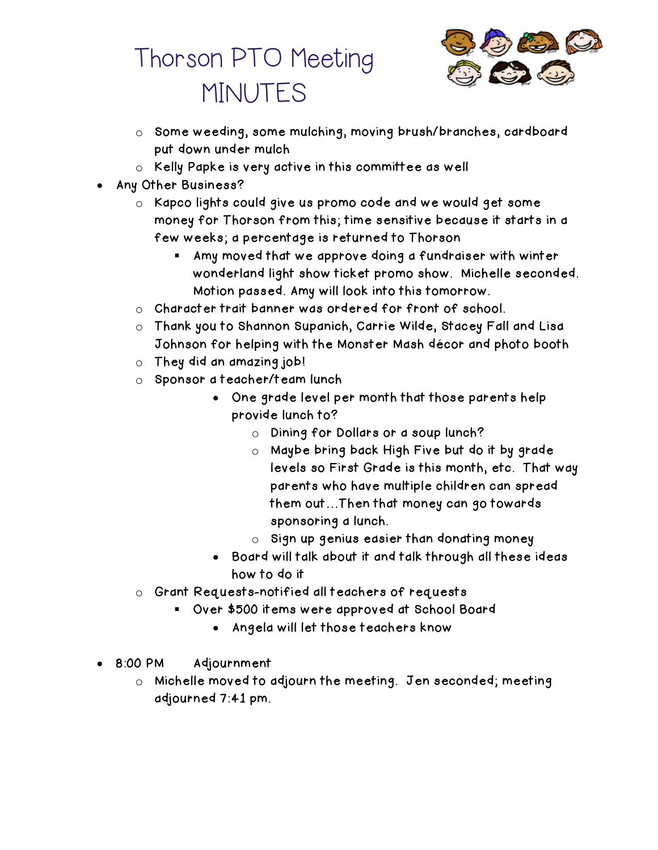

- o Some weeding, some mulching, moving brush/branches, cardboard put down under mulch
- o Kelly Papke is very active in this committee as well
- Any Other Business?
	- o Kapco lights could give us promo code and we would get some money for Thorson from this; time sensitive because it starts in a few weeks; a percentage is returned to Thorson
		- Amy moved that we approve doing a fundraiser with winter wonderland light show ticket promo show. Michelle seconded. Motion passed. Amy will look into this tomorrow.
	- o Character trait banner was ordered for front of school.
	- o Thank you to Shannon Supanich, Carrie Wilde, Stacey Fall and Lisa Johnson for helping with the Monster Mash décor and photo booth
	- o They did an amazing job!
	- o Sponsor a teacher/team lunch
		- One grade level per month that those parents help provide lunch to?
			- o Dining for Dollars or a soup lunch?
			- o Maybe bring back High Five but do it by grade levels so First Grade is this month, etc. That way parents who have multiple children can spread them out…Then that money can go towards sponsoring a lunch.
			- $\circ$  Sign up genius easier than donating money
		- Board will talk about it and talk through all these ideas how to do it
	- o Grant Requests-notified all teachers of requests
		- Over \$500 items were approved at School Board
			- Angela will let those teachers know
- 8:00 PM Adjournment
	- o Michelle moved to adjourn the meeting. Jen seconded; meeting adjourned 7:41 pm.